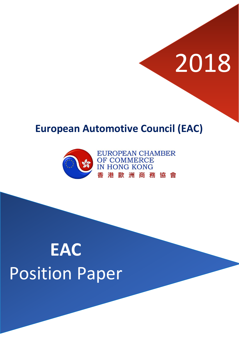# 2018

### **European Automotive Council (EAC)**



**EUROPEAN CHAMBER** OF COMMERCE **IN HONG KONG** 歐洲商務協會 港

## **EAC** Position Paper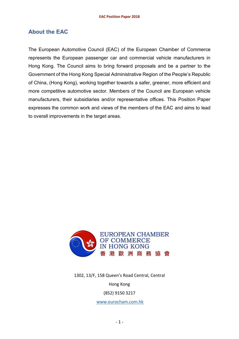#### **About the EAC**

The European Automotive Council (EAC) of the European Chamber of Commerce represents the European passenger car and commercial vehicle manufacturers in Hong Kong. The Council aims to bring forward proposals and be a partner to the Government of the Hong Kong Special Administrative Region of the People's Republic of China, (Hong Kong), working together towards a safer, greener, more efficient and more competitive automotive sector. Members of the Council are European vehicle manufacturers, their subsidiaries and/or representative offices. This Position Paper expresses the common work and views of the members of the EAC and aims to lead to overall improvements in the target areas.



1302, 13/F, 158 Queen's Road Central, Central

#### Hong Kong

(852) 9150 3217

[www.eurocham.com.hk](http://www.eurocham.com.hk/)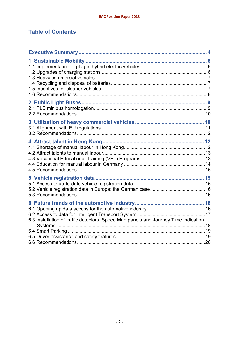#### **Table of Contents**

| 6.3 Installation of traffic detectors, Speed Map panels and Journey Time Indication |  |
|-------------------------------------------------------------------------------------|--|
|                                                                                     |  |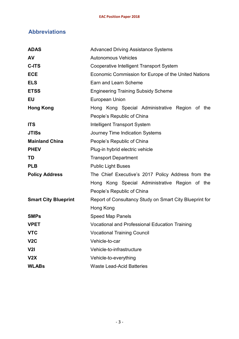#### **Abbreviations**

| <b>ADAS</b>                 | <b>Advanced Driving Assistance Systems</b>              |  |  |  |
|-----------------------------|---------------------------------------------------------|--|--|--|
| AV                          | <b>Autonomous Vehicles</b>                              |  |  |  |
| C-ITS                       | Cooperative Intelligent Transport System                |  |  |  |
| <b>ECE</b>                  | Economic Commission for Europe of the United Nations    |  |  |  |
| <b>ELS</b>                  | Earn and Learn Scheme                                   |  |  |  |
| <b>ETSS</b>                 | <b>Engineering Training Subsidy Scheme</b>              |  |  |  |
| <b>EU</b>                   | <b>European Union</b>                                   |  |  |  |
| <b>Hong Kong</b>            | Hong Kong Special Administrative Region of the          |  |  |  |
|                             | People's Republic of China                              |  |  |  |
| <b>ITS</b>                  | <b>Intelligent Transport System</b>                     |  |  |  |
| <b>JTISs</b>                | Journey Time Indication Systems                         |  |  |  |
| <b>Mainland China</b>       | People's Republic of China                              |  |  |  |
| <b>PHEV</b>                 | Plug-in hybrid electric vehicle                         |  |  |  |
| TD                          | <b>Transport Department</b>                             |  |  |  |
| <b>PLB</b>                  | <b>Public Light Buses</b>                               |  |  |  |
| <b>Policy Address</b>       | The Chief Executive's 2017 Policy Address from the      |  |  |  |
|                             | Hong Kong Special Administrative Region of the          |  |  |  |
|                             | People's Republic of China                              |  |  |  |
| <b>Smart City Blueprint</b> | Report of Consultancy Study on Smart City Blueprint for |  |  |  |
|                             | Hong Kong                                               |  |  |  |
| <b>SMPs</b>                 | <b>Speed Map Panels</b>                                 |  |  |  |
| <b>VPET</b>                 | <b>Vocational and Professional Education Training</b>   |  |  |  |
| <b>VTC</b>                  | <b>Vocational Training Council</b>                      |  |  |  |
| V <sub>2</sub> C            | Vehicle-to-car                                          |  |  |  |
| V <sub>2</sub>              | Vehicle-to-infrastructure                               |  |  |  |
| V2X                         | Vehicle-to-everything                                   |  |  |  |
| <b>WLABs</b>                | <b>Waste Lead-Acid Batteries</b>                        |  |  |  |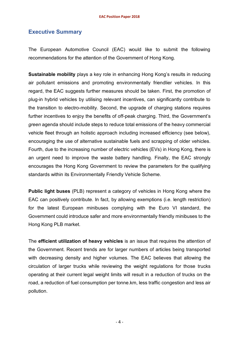#### **Executive Summary**

The European Automotive Council (EAC) would like to submit the following recommendations for the attention of the Government of Hong Kong.

**Sustainable mobility** plays a key role in enhancing Hong Kong's results in reducing air pollutant emissions and promoting environmentally friendlier vehicles. In this regard, the EAC suggests further measures should be taken. First, the promotion of plug-in hybrid vehicles by utilising relevant incentives, can significantly contribute to the transition to electro-mobility. Second, the upgrade of charging stations requires further incentives to enjoy the benefits of off-peak charging. Third, the Government's *green* agenda should include steps to reduce total emissions of the heavy commercial vehicle fleet through an holistic approach including increased efficiency (see below), encouraging the use of alternative sustainable fuels and scrapping of older vehicles. Fourth, due to the increasing number of electric vehicles (EVs) in Hong Kong, there is an urgent need to improve the waste battery handling. Finally, the EAC strongly encourages the Hong Kong Government to review the parameters for the qualifying standards within its Environmentally Friendly Vehicle Scheme.

**Public light buses** (PLB) represent a category of vehicles in Hong Kong where the EAC can positively contribute. In fact, by allowing exemptions (i.e. length restriction) for the latest European minibuses complying with the Euro VI standard, the Government could introduce safer and more environmentally friendly minibuses to the Hong Kong PLB market.

The **efficient utilization of heavy vehicles** is an issue that requires the attention of the Government. Recent trends are for larger numbers of articles being transported with decreasing density and higher volumes. The EAC believes that allowing the circulation of larger trucks while reviewing the weight regulations for those trucks operating at their current legal weight limits will result in a reduction of trucks on the road, a reduction of fuel consumption per tonne.km, less traffic congestion and less air pollution.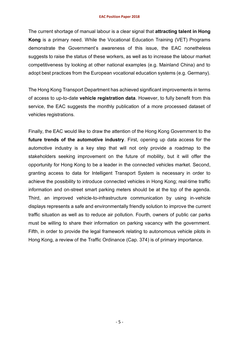#### **EAC Position Paper 2018**

The current shortage of manual labour is a clear signal that **attracting talent in Hong Kong** is a primary need. While the Vocational Education Training (VET) Programs demonstrate the Government's awareness of this issue, the EAC nonetheless suggests to raise the status of these workers, as well as to increase the labour market competitiveness by looking at other national examples (e.g. Mainland China) and to adopt best practices from the European vocational education systems (e.g. Germany).

The Hong Kong Transport Department has achieved significant improvements in terms of access to up-to-date **vehicle registration data**. However, to fully benefit from this service, the EAC suggests the monthly publication of a more processed dataset of vehicles registrations.

Finally, the EAC would like to draw the attention of the Hong Kong Government to the **future trends of the automotive industry**. First, opening up data access for the automotive industry is a key step that will not only provide a roadmap to the stakeholders seeking improvement on the future of mobility, but it will offer the opportunity for Hong Kong to be a leader in the connected vehicles market. Second, granting access to data for Intelligent Transport System is necessary in order to achieve the possibility to introduce connected vehicles in Hong Kong; real-time traffic information and on-street smart parking meters should be at the top of the agenda. Third, an improved vehicle-to-infrastructure communication by using in-vehicle displays represents a safe and environmentally friendly solution to improve the current traffic situation as well as to reduce air pollution. Fourth, owners of public car parks must be willing to share their information on parking vacancy with the government. Fifth, in order to provide the legal framework relating to autonomous vehicle pilots in Hong Kong, a review of the Traffic Ordinance (Cap. 374) is of primary importance.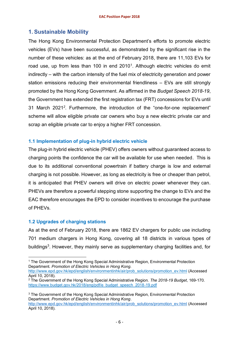#### **1. Sustainable Mobility**

The Hong Kong Environmental Protection Department's efforts to promote electric vehicles (EVs) have been successful, as demonstrated by the significant rise in the number of these vehicles: as at the end of February 2018, there are 11,103 EVs for road use, up from less than 100 in end 2010<sup>1</sup>. Although electric vehicles do emit indirectly – with the carbon intensity of the fuel mix of electricity generation and power station emissions reducing their environmental friendliness – EVs are still strongly promoted by the Hong Kong Government. As affirmed in the *Budget Speech 2018-19*, the Government has extended the first registration tax (FRT) concessions for EVs until 31 March 2021*<sup>2</sup>*. Furthermore, the introduction of the "one-for-one replacement" scheme will allow eligible private car owners who buy a new electric private car and scrap an eligible private car to enjoy a higher FRT concession.

#### **1.1 Implementation of plug-in hybrid electric vehicle**

The plug-in hybrid electric vehicle (PHEV) offers owners without guaranteed access to charging points the confidence the car will be available for use when needed. This is due to its additional conventional powertrain if battery charge is low and external charging is not possible. However, as long as electricity is free or cheaper than petrol, it is anticipated that PHEV owners will drive on electric power whenever they can. PHEVs are therefore a powerful stepping stone supporting the change to EVs and the EAC therefore encourages the EPD to consider incentives to encourage the purchase of PHEVs.

#### **1.2 Upgrades of charging stations**

As at the end of February 2018, there are 1862 EV chargers for public use including 701 medium chargers in Hong Kong, covering all 18 districts in various types of buildings<sup>3</sup>. However, they mainly serve as supplementary charging facilities and, for

l <sup>1</sup> The Government of the Hong Kong Special Administrative Region, Environmental Protection Department. *Promotion of Electric Vehicles in Hong Kong.*  [http://www.epd.gov.hk/epd/english/environmentinhk/air/prob\\_solutions/promotion\\_ev.html](http://www.epd.gov.hk/epd/english/environmentinhk/air/prob_solutions/promotion_ev.html) (Accessed April 10, 2018).

<sup>2</sup> The Government of the Hong Kong Special Administrative Region. *The 2018-19 Budget*, 169-170. [https://www.budget.gov.hk/2018/eng/pdf/e\\_budget\\_speech\\_2018-19.pdf](https://www.budget.gov.hk/2018/eng/pdf/e_budget_speech_2018-19.pdf)

<sup>&</sup>lt;sup>3</sup> The Government of the Hong Kong Special Administrative Region, Environmental Protection Department. *Promotion of Electric Vehicles in Hong Kong*.

[http://www.epd.gov.hk/epd/english/environmentinhk/air/prob\\_solutions/promotion\\_ev.html](http://www.epd.gov.hk/epd/english/environmentinhk/air/prob_solutions/promotion_ev.html) (Accessed April 10, 2018).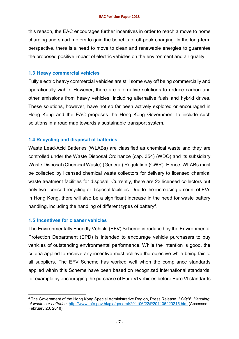this reason, the EAC encourages further incentives in order to reach a move to home charging and smart meters to gain the benefits of off-peak charging. In the long-term perspective, there is a need to move to clean and renewable energies to guarantee the proposed positive impact of electric vehicles on the environment and air quality.

#### **1.3 Heavy commercial vehicles**

Fully electric heavy commercial vehicles are still some way off being commercially and operationally viable. However, there are alternative solutions to reduce carbon and other emissions from heavy vehicles, including alternative fuels and hybrid drives. These solutions, however, have not so far been actively explored or encouraged in Hong Kong and the EAC proposes the Hong Kong Government to include such solutions in a road map towards a sustainable transport system.

#### **1.4 Recycling and disposal of batteries**

Waste Lead-Acid Batteries (WLABs) are classified as chemical waste and they are controlled under the Waste Disposal Ordinance (cap. 354) (WDO) and its subsidiary Waste Disposal (Chemical Waste) (General) Regulation (CWR). Hence, WLABs must be collected by licensed chemical waste collectors for delivery to licensed chemical waste treatment facilities for disposal. Currently, there are 23 licensed collectors but only two licensed recycling or disposal facilities. Due to the increasing amount of EVs in Hong Kong, there will also be a significant increase in the need for waste battery handling, including the handling of different types of battery<sup>4</sup>.

#### **1.5 Incentives for cleaner vehicles**

l

The Environmentally Friendly Vehicle (EFV) Scheme introduced by the Environmental Protection Department (EPD) is intended to encourage vehicle purchasers to buy vehicles of outstanding environmental performance. While the intention is good, the criteria applied to receive any incentive must achieve the objective while being fair to all suppliers. The EFV Scheme has worked well when the compliance standards applied within this Scheme have been based on recognized international standards, for example by encouraging the purchase of Euro VI vehicles before Euro VI standards

<sup>4</sup> The Government of the Hong Kong Special Administrative Region, Press Release. *LCQ16: Handling of waste car batteries*.<http://www.info.gov.hk/gia/general/201106/22/P201106220215.htm> (Accessed February 23, 2018).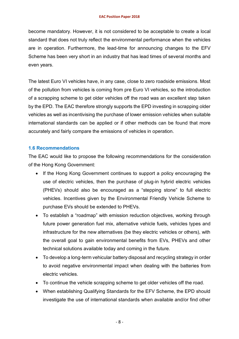become mandatory. However, it is not considered to be acceptable to create a local standard that does not truly reflect the environmental performance when the vehicles are in operation. Furthermore, the lead-time for announcing changes to the EFV Scheme has been very short in an industry that has lead times of several months and even years.

The latest Euro VI vehicles have, in any case, close to zero roadside emissions. Most of the pollution from vehicles is coming from pre Euro VI vehicles, so the introduction of a scrapping scheme to get older vehicles off the road was an excellent step taken by the EPD. The EAC therefore strongly supports the EPD investing in scrapping older vehicles as well as incentivising the purchase of lower emission vehicles when suitable international standards can be applied or if other methods can be found that more accurately and fairly compare the emissions of vehicles in operation.

#### **1.6 Recommendations**

The EAC would like to propose the following recommendations for the consideration of the Hong Kong Government:

- If the Hong Kong Government continues to support a policy encouraging the use of electric vehicles, then the purchase of plug-in hybrid electric vehicles (PHEVs) should also be encouraged as a "stepping stone" to full electric vehicles. Incentives given by the Environmental Friendly Vehicle Scheme to purchase EVs should be extended to PHEVs.
- To establish a "roadmap" with emission reduction objectives, working through future power generation fuel mix, alternative vehicle fuels, vehicles types and infrastructure for the new alternatives (be they electric vehicles or others), with the overall goal to gain environmental benefits from EVs, PHEVs and other technical solutions available today and coming in the future.
- To develop a long-term vehicular battery disposal and recycling strategy in order to avoid negative environmental impact when dealing with the batteries from electric vehicles.
- To continue the vehicle scrapping scheme to get older vehicles off the road.
- When establishing Qualifying Standards for the EFV Scheme, the EPD should investigate the use of international standards when available and/or find other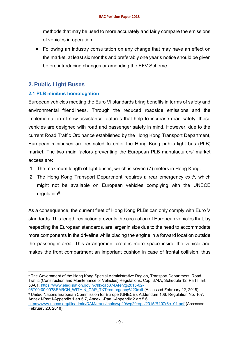methods that may be used to more accurately and fairly compare the emissions of vehicles in operation.

• Following an industry consultation on any change that may have an effect on the market, at least six months and preferably one year's notice should be given before introducing changes or amending the EFV Scheme.

#### **2. Public Light Buses**

l

#### **2.1 PLB minibus homologation**

European vehicles meeting the Euro VI standards bring benefits in terms of safety and environmental friendliness. Through the reduced roadside emissions and the implementation of new assistance features that help to increase road safety, these vehicles are designed with road and passenger safety in mind. However, due to the current Road Traffic Ordinance established by the Hong Kong Transport Department, European minibuses are restricted to enter the Hong Kong public light bus (PLB) market. The two main factors preventing the European PLB manufacturers' market access are:

- 1. The maximum length of light buses, which is seven (7) meters in Hong Kong.
- 2. The Hong Kong Transport Department requires a rear emergency exit<sup>5</sup>, which might not be available on European vehicles complying with the UNECE regulation6.

As a consequence, the current fleet of Hong Kong PLBs can only comply with Euro V standards. This length restriction prevents the circulation of European vehicles that, by respecting the European standards, are larger in size due to the need to accommodate more components in the driveline while placing the engine in a forward location outside the passenger area. This arrangement creates more space inside the vehicle and makes the front compartment an important cushion in case of frontal collision, thus

<sup>5</sup> The Government of the Hong Kong Special Administrative Region, Transport Department. Road Traffic (Construction and Maintenance of Vehicles) Regulations. Cap. 374A, Schedule 12, Part I, art. 58-61. [https://www.elegislation.gov.hk/hk/cap374A!en@2015-02-](https://www.elegislation.gov.hk/hk/cap374A!en@2015-02-06T00:00:00?SEARCH_WITHIN_CAP_TXT=emergency%20exit)

[<sup>06</sup>T00:00:00?SEARCH\\_WITHIN\\_CAP\\_TXT=emergency%20exit](https://www.elegislation.gov.hk/hk/cap374A!en@2015-02-06T00:00:00?SEARCH_WITHIN_CAP_TXT=emergency%20exit) (Accessed February 22, 2018). <sup>6</sup> United Nations European Commission for Europe (UNECE). Addendum 106: Regulation No. 107. Annex I-Part I-Appendix 1 art.5.7, Annex I-Part I-Appendix 2 art.5.6 [https://www.unece.org/fileadmin/DAM/trans/main/wp29/wp29regs/2015/R107r6e\\_01.pdf](https://www.unece.org/fileadmin/DAM/trans/main/wp29/wp29regs/2015/R107r6e_01.pdf) (Accessed February 23, 2018).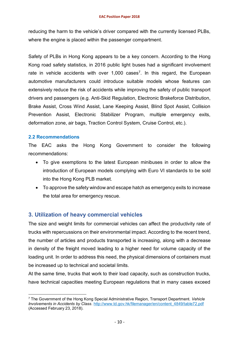reducing the harm to the vehicle's driver compared with the currently licensed PLBs, where the engine is placed within the passenger compartment.

Safety of PLBs in Hong Kong appears to be a key concern. According to the Hong Kong road safety statistics, in 2016 public light buses had a significant involvement rate in vehicle accidents with over  $1,000$  cases<sup>7</sup>. In this regard, the European automotive manufacturers could introduce suitable models whose features can extensively reduce the risk of accidents while improving the safety of public transport drivers and passengers (e.g. Anti-Skid Regulation, Electronic Brakeforce Distribution, Brake Assist, Cross Wind Assist, Lane Keeping Assist, Blind Spot Assist, Collision Prevention Assist, Electronic Stabilizer Program, multiple emergency exits, deformation zone, air bags, Traction Control System, Cruise Control, etc.).

#### **2.2 Recommendations**

l

The EAC asks the Hong Kong Government to consider the following recommendations:

- To give exemptions to the latest European minibuses in order to allow the introduction of European models complying with Euro VI standards to be sold into the Hong Kong PLB market.
- To approve the safety window and escape hatch as emergency exits to increase the total area for emergency rescue.

#### **3. Utilization of heavy commercial vehicles**

The size and weight limits for commercial vehicles can affect the productivity rate of trucks with repercussions on their environmental impact. According to the recent trend, the number of articles and products transported is increasing, along with a decrease in density of the freight moved leading to a higher need for volume capacity of the loading unit. In order to address this need, the physical dimensions of containers must be increased up to technical and societal limits.

At the same time, trucks that work to their load capacity, such as construction trucks, have technical capacities meeting European regulations that in many cases exceed

<sup>7</sup> The Government of the Hong Kong Special Administrative Region, Transport Department. *Vehicle Involvements in Accidents by Class*. [http://www.td.gov.hk/filemanager/en/content\\_4849/table72.pdf](http://www.td.gov.hk/filemanager/en/content_4849/table72.pdf) (Accessed February 23, 2018).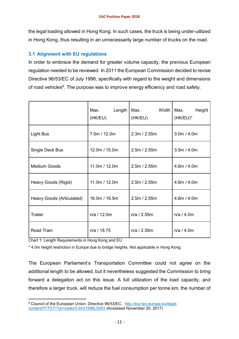the legal loading allowed in Hong Kong. In such cases, the truck is being under-utilized in Hong Kong, thus resulting in an unnecessarily large number of trucks on the road.

#### **3.1 Alignment with EU regulations**

In order to embrace the demand for greater volume capacity, the previous European regulation needed to be reviewed. In 2011 the European Commission decided to revise Directive 96/53/EC of July 1996, specifically with regard to the weight and dimensions of road vehicles<sup>8</sup>. The purpose was to improve energy efficiency and road safety.

|                           | Length<br>Max.<br>(HK/EU) | Max.<br>Width I<br>(HK/EU) | Max.<br>Height<br>(HK/EU)* |
|---------------------------|---------------------------|----------------------------|----------------------------|
| <b>Light Bus</b>          | 7.0m / 12.0m              | 2.3m / 2.55m               | 3.0m / 4.0m                |
| Single Deck Bus           | 12.0m / 15.0m             | 2.5m / 2.55m               | 3.5m / 4.0m                |
| Medium Goods              | 11.0m / 12.0m             | 2.5m / 2.55m               | 4.6m / 4.0m                |
| Heavy Goods (Rigid)       | 11.0m / 12.0m             | 2.5m / 2.55m               | 4.6m / 4.0m                |
| Heavy Goods (Articulated) | 16.0m / 16.5m             | 2.5m / 2.55m               | 4.6m / 4.0m                |
| <b>Trailer</b>            | n/a / 12.0m               | n/a / 2.55m                | n/a / 4.0m                 |
| Road Train                | n/a / 18.75               | n/a / 2.55m                | n/a / 4.0m                 |

Chart 1: Length Requirements in Hong Kong and EU

\* 4.0m height restriction in Europe due to bridge heights. Not applicable in Hong Kong.

The European Parliament's Transportation Committee could not agree on the additional length to be allowed, but it nevertheless suggested the Commission to bring forward a delegation act on this issue. A full utilization of the load capacity, and therefore a larger truck, will reduce the fuel consumption per tonne.km, the number of

l 8 Council of the European Union. Directive 96/53/EC, [http://eur-lex.europa.eu/legal](http://eur-lex.europa.eu/legal-content/IT/TXT/?uri=celex%3A31996L0053)[content/IT/TXT/?uri=celex%3A31996L0053](http://eur-lex.europa.eu/legal-content/IT/TXT/?uri=celex%3A31996L0053) (Accessed November 20, 2017)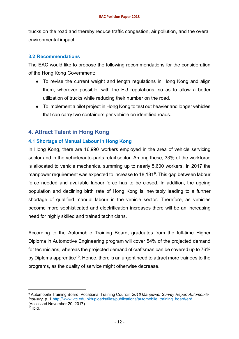trucks on the road and thereby reduce traffic congestion, air pollution, and the overall environmental impact.

#### **3.2 Recommendations**

The EAC would like to propose the following recommendations for the consideration of the Hong Kong Government:

- To revise the current weight and length regulations in Hong Kong and align them, wherever possible, with the EU regulations, so as to allow a better utilization of trucks while reducing their number on the road.
- To implement a pilot project in Hong Kong to test out heavier and longer vehicles that can carry two containers per vehicle on identified roads.

#### **4. Attract Talent in Hong Kong**

#### **4.1 Shortage of Manual Labour in Hong Kong**

In Hong Kong, there are 16,990 workers employed in the area of vehicle servicing sector and in the vehicle/auto-parts retail sector. Among these, 33% of the workforce is allocated to vehicle mechanics, summing up to nearly 5,600 workers. In 2017 the manpower requirement was expected to increase to 18,1819. This gap between labour force needed and available labour force has to be closed. In addition, the ageing population and declining birth rate of Hong Kong is inevitably leading to a further shortage of qualified manual labour in the vehicle sector. Therefore, as vehicles become more sophisticated and electrification increases there will be an increasing need for highly skilled and trained technicians.

According to the Automobile Training Board, graduates from the full-time Higher Diploma in Automotive Engineering program will cover 54% of the projected demand for technicians, whereas the projected demand of craftsman can be covered up to 76% by Diploma apprentice<sup>10</sup>. Hence, there is an urgent need to attract more trainees to the programs, as the quality of service might otherwise decrease.

l

<sup>9</sup> Automobile Training Board, Vocational Training Council. *2016 Manpower Survey Report Automobile Industry*, p. 1[.http://www.vtc.edu.hk/uploads/files/publications/automobile\\_training\\_board/en/](http://www.vtc.edu.hk/uploads/files/publications/automobile_training_board/en/2016%20AU%20MPS%20Report%20(Bilingual)%2017%20Jan%202017.pdf)  (Accessed November 20, 2017).

 $10$  Ibid.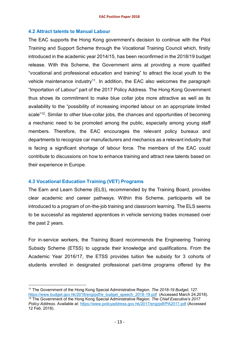#### **4.2 Attract talents to Manual Labour**

The EAC supports the Hong Kong government's decision to continue with the Pilot Training and Support Scheme through the Vocational Training Council which, firstly introduced in the academic year 2014/15, has been reconfirmed in the 2018/19 budget release. With this Scheme, the Government aims at providing a more qualified "vocational and professional education and training" to attract the local youth to the vehicle maintenance industry<sup>11</sup>. In addition, the EAC also welcomes the paragraph "Importation of Labour" part of the 2017 Policy Address. The Hong Kong Government thus shows its commitment to make blue collar jobs more attractive as well as its availability to the "possibility of increasing imported labour on an appropriate limited scale<sup>"12</sup>. Similar to other blue-collar jobs, the chances and opportunities of becoming a mechanic need to be promoted among the public, especially among young staff members. Therefore, the EAC encourages the relevant policy bureaux and departments to recognize car manufacturers and mechanics as a relevant industry that is facing a significant shortage of labour force. The members of the EAC could contribute to discussions on how to enhance training and attract new talents based on their experience in Europe.

#### **4.3 Vocational Education Training (VET) Programs**

l

The Earn and Learn Scheme (ELS), recommended by the Training Board, provides clear academic and career pathways. Within this Scheme, participants will be introduced to a program of on-the-job training and classroom learning. The ELS seems to be successful as registered apprentices in vehicle servicing trades increased over the past 2 years.

For in-service workers, the Training Board recommends the Engineering Training Subsidy Scheme (ETSS) to upgrade their knowledge and qualifications. From the Academic Year 2016/17, the ETSS provides tuition fee subsidy for 3 cohorts of students enrolled in designated professional part-time programs offered by the

<sup>11</sup> The Government of the Hong Kong Special Administrative Region. *The 2018-19 Budget*, 127. [https://www.budget.gov.hk/2018/eng/pdf/e\\_budget\\_speech\\_2018-19.pdf](https://www.budget.gov.hk/2018/eng/pdf/e_budget_speech_2018-19.pdf) (Accessed March 24,2018). <sup>12</sup> The Government of the Hong Kong Special Administrative Region. *The Chief Executive's 2017 Policy Address.* Available at:<https://www.policyaddress.gov.hk/2017/eng/pdf/PA2017.pdf> (Accessed 12 Feb. 2018).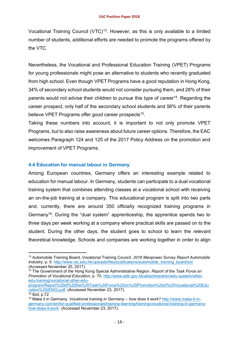Vocational Training Council (VTC)<sup>13</sup>. However, as this is only available to a limited number of students, additional efforts are needed to promote the programs offered by the VTC.

Nevertheless, the Vocational and Professional Education Training (VPET) Programs for young professionals might pose an alternative to students who recently graduated from high school. Even though VPET Programs have a good reputation in Hong Kong, 34% of secondary school students would not consider pursuing them, and 28% of their parents would not advise their children to pursue this type of career<sup>14</sup>. Regarding the career prospect, only half of the secondary school students and 56% of their parents believe VPET Programs offer good career prospects<sup>15</sup>.

Taking these numbers into account, it is important to not only promote VPET Programs, but to also raise awareness about future career options. Therefore, the EAC welcomes Paragraph 124 and 125 of the 2017 Policy Address on the promotion and improvement of VPET Programs.

#### **4.4 Education for manual labour in Germany**

Among European countries, Germany offers an interesting example related to education for manual labour. In Germany, students can participate to a dual vocational training system that combines attending classes at a vocational school with receiving an on-the-job training at a company. This educational program is split into two parts and, currently, there are around 350 officially recognized training programs in Germany16. During the "dual system" apprenticeship, the apprentice spends two to three days per week working at a company where practical skills are passed on to the student. During the other days, the student goes to school to learn the relevant theoretical knowledge. Schools and companies are working together in order to align

 $\overline{a}$ 

<sup>13</sup> Automobile Training Board, Vocational Training Council. *2016 Manpower Survey Report Automobile Industry*, p. 5. [http://www.vtc.edu.hk/uploads/files/publications/automobile\\_training\\_board/en/](http://www.vtc.edu.hk/uploads/files/publications/automobile_training_board/en/2016%20AU%20MPS%20Report%20(Bilingual)%2017%20Jan%202017.pdf) (Accessed November 20, 2017).

<sup>14</sup> The Government of the Hong Kong Special Administrative Region. *Report of the Task Force on Promotion of Vocational Education*, p. 70. [http://www.edb.gov.hk/attachment/en/edu-system/other](http://www.edb.gov.hk/attachment/en/edu-system/other-edu-training/vocational-other-edu-program/Report%20of%20the%20Task%20Force%20on%20Promotion%20of%20Vocational%20Education%20(ENG).pdf)[edu-training/vocational-other-edu-](http://www.edb.gov.hk/attachment/en/edu-system/other-edu-training/vocational-other-edu-program/Report%20of%20the%20Task%20Force%20on%20Promotion%20of%20Vocational%20Education%20(ENG).pdf)

[program/Report%20of%20the%20Task%20Force%20on%20Promotion%20of%20Vocational%20Edu](http://www.edb.gov.hk/attachment/en/edu-system/other-edu-training/vocational-other-edu-program/Report%20of%20the%20Task%20Force%20on%20Promotion%20of%20Vocational%20Education%20(ENG).pdf) [cation%20\(ENG\).pdf.](http://www.edb.gov.hk/attachment/en/edu-system/other-edu-training/vocational-other-edu-program/Report%20of%20the%20Task%20Force%20on%20Promotion%20of%20Vocational%20Education%20(ENG).pdf) (Accessed November 23, 2017).

 $15$  Ibid, p.72

<sup>16</sup> Make it in Germany. *Vocational training in Germany – how does it work?* [http://www.make-it-in](http://www.make-it-in-germany.com/en/for-qualified-professionals/training-learning/training/vocational-training-in-germany-how-does-it-work)[germany.com/en/for-qualified-professionals/training-learning/training/vocational-training-in-germany](http://www.make-it-in-germany.com/en/for-qualified-professionals/training-learning/training/vocational-training-in-germany-how-does-it-work)[how-does-it-work](http://www.make-it-in-germany.com/en/for-qualified-professionals/training-learning/training/vocational-training-in-germany-how-does-it-work) (Accessed November 23, 2017).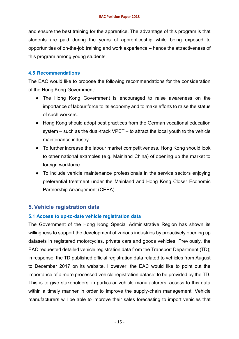and ensure the best training for the apprentice. The advantage of this program is that students are paid during the years of apprenticeship while being exposed to opportunities of on-the-job training and work experience – hence the attractiveness of this program among young students.

#### **4.5 Recommendations**

The EAC would like to propose the following recommendations for the consideration of the Hong Kong Government:

- The Hong Kong Government is encouraged to raise awareness on the importance of labour force to its economy and to make efforts to raise the status of such workers.
- Hong Kong should adopt best practices from the German vocational education system – such as the dual-track VPET – to attract the local youth to the vehicle maintenance industry.
- To further increase the labour market competitiveness, Hong Kong should look to other national examples (e.g. Mainland China) of opening up the market to foreign workforce.
- To include vehicle maintenance professionals in the service sectors enjoying preferential treatment under the Mainland and Hong Kong Closer Economic Partnership Arrangement (CEPA).

#### **5. Vehicle registration data**

#### **5.1 Access to up-to-date vehicle registration data**

The Government of the Hong Kong Special Administrative Region has shown its willingness to support the development of various industries by proactively opening up datasets in registered motorcycles, private cars and goods vehicles. Previously, the EAC requested detailed vehicle registration data from the Transport Department (TD); in response, the TD published official registration data related to vehicles from August to December 2017 on its website. However, the EAC would like to point out the importance of a more processed vehicle registration dataset to be provided by the TD. This is to give stakeholders, in particular vehicle manufacturers, access to this data within a timely manner in order to improve the supply-chain management. Vehicle manufacturers will be able to improve their sales forecasting to import vehicles that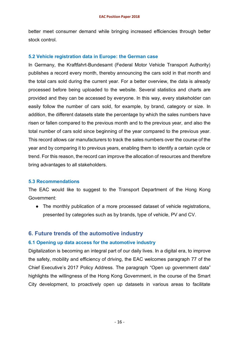better meet consumer demand while bringing increased efficiencies through better stock control.

#### **5.2 Vehicle registration data in Europe: the German case**

In Germany, the Kraftfahrt-Bundesamt (Federal Motor Vehicle Transport Authority) publishes a record every month, thereby announcing the cars sold in that month and the total cars sold during the current year. For a better overview, the data is already processed before being uploaded to the website. Several statistics and charts are provided and they can be accessed by everyone. In this way, every stakeholder can easily follow the number of cars sold, for example, by brand, category or size. In addition, the different datasets state the percentage by which the sales numbers have risen or fallen compared to the previous month and to the previous year, and also the total number of cars sold since beginning of the year compared to the previous year. This record allows car manufacturers to track the sales numbers over the course of the year and by comparing it to previous years, enabling them to identify a certain cycle or trend. For this reason, the record can improve the allocation of resources and therefore bring advantages to all stakeholders.

#### **5.3 Recommendations**

The EAC would like to suggest to the Transport Department of the Hong Kong Government:

• The monthly publication of a more processed dataset of vehicle registrations, presented by categories such as by brands, type of vehicle, PV and CV.

#### **6. Future trends of the automotive industry**

#### **6.1 Opening up data access for the automotive industry**

Digitalization is becoming an integral part of our daily lives. In a digital era, to improve the safety, mobility and efficiency of driving, the EAC welcomes paragraph 77 of the Chief Executive's 2017 Policy Address. The paragraph "Open up government data" highlights the willingness of the Hong Kong Government, in the course of the Smart City development, to proactively open up datasets in various areas to facilitate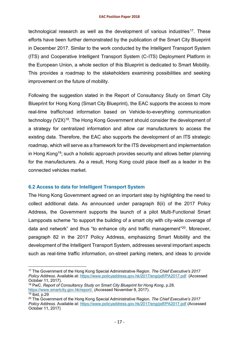#### **EAC Position Paper 2018**

technological research as well as the development of various industries<sup>17</sup>. These efforts have been further demonstrated by the publication of the Smart City Blueprint in December 2017. Similar to the work conducted by the Intelligent Transport System (ITS) and Cooperative Intelligent Transport System (C-ITS) Deployment Platform in the European Union, a whole section of this Blueprint is dedicated to Smart Mobility. This provides a roadmap to the stakeholders examining possibilities and seeking improvement on the future of mobility.

Following the suggestion stated in the Report of Consultancy Study on Smart City Blueprint for Hong Kong (Smart City Blueprint), the EAC supports the access to more real-time traffic/road information based on Vehicle-to-everything communication technology (V2X)<sup>18</sup>. The Hong Kong Government should consider the development of a strategy for centralized information and allow car manufacturers to access the existing data. Therefore, the EAC also supports the development of an ITS strategic roadmap, which will serve as a framework for the ITS development and implementation in Hong Kong19; such a holistic approach provides security and allows better planning for the manufacturers. As a result, Hong Kong could place itself as a leader in the connected vehicles market.

#### **6.2 Access to data for Intelligent Transport System**

l

The Hong Kong Government agreed on an important step by highlighting the need to collect additional data. As announced under paragraph 8(ii) of the 2017 Policy Address, the Government supports the launch of a pilot Multi-Functional Smart Lampposts scheme "to support the building of a smart city with city-wide coverage of data and network" and thus "to enhance city and traffic management"20. Moreover, paragraph 82 in the 2017 Policy Address, emphasizing Smart Mobility and the development of the Intelligent Transport System, addresses several important aspects such as real-time traffic information, on-street parking meters, and ideas to provide

<sup>17</sup> The Government of the Hong Kong Special Administrative Region. *The Chief Executive's 2017 Policy Address.* Available at:<https://www.policyaddress.gov.hk/2017/eng/pdf/PA2017.pdf>(Accessed October 11, 2017).

<sup>18</sup> PwC. *Report of Consultancy Study on Smart City Blueprint for Hong Kong*, p.28. [https://www.smartcity.gov.hk/report/.](https://www.smartcity.gov.hk/report/) (Accessed November 9, 2017).  $19$  Ibid, p.29

<sup>20</sup> The Government of the Hong Kong Special Administrative Region. *The Chief Executive's 2017 Policy Address.* Available at:<https://www.policyaddress.gov.hk/2017/eng/pdf/PA2017.pdf> (Accessed October 11, 2017)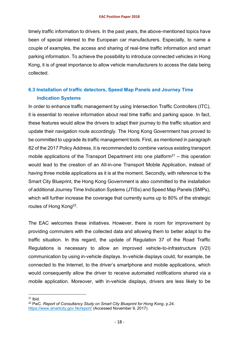timely traffic information to drivers. In the past years, the above-mentioned topics have been of special interest to the European car manufacturers. Especially, to name a couple of examples, the access and sharing of real-time traffic information and smart parking information. To achieve the possibility to introduce connected vehicles in Hong Kong, it is of great importance to allow vehicle manufacturers to access the data being collected.

#### **6.3 Installation of traffic detectors, Speed Map Panels and Journey Time Indication Systems**

In order to enhance traffic management by using Intersection Traffic Controllers (ITC), it is essential to receive information about real time traffic and parking space. In fact, these features would allow the drivers to adapt their journey to the traffic situation and update their navigation route accordingly. The Hong Kong Government has proved to be committed to upgrade its traffic management tools. First, as mentioned in paragraph 82 of the 2017 Policy Address, it is recommended to combine various existing transport mobile applications of the Transport Department into one platform<sup>21</sup> – this operation would lead to the creation of an All-in-one Transport Mobile Application, instead of having three mobile applications as it is at the moment. Secondly, with reference to the Smart City Blueprint, the Hong Kong Government is also committed to the installation of additional Journey Time Indication Systems (JTISs) and Speed Map Panels (SMPs), which will further increase the coverage that currently sums up to 80% of the strategic routes of Hong Kong<sup>22</sup>.

The EAC welcomes these initiatives. However, there is room for improvement by providing commuters with the collected data and allowing them to better adapt to the traffic situation. In this regard, the update of Regulation 37 of the Road Traffic Regulations is necessary to allow an improved vehicle-to-infrastructure (V2I) communication by using in-vehicle displays. In-vehicle displays could, for example, be connected to the Internet, to the driver's smartphone and mobile applications, which would consequently allow the driver to receive automated notifications shared via a mobile application. Moreover, with in-vehicle displays, drivers are less likely to be

l

 $21$  Ibid.

<sup>22</sup> PwC. *Report of Consultancy Study on Smart City Blueprint for Hong Kong*, p.24. <https://www.smartcity.gov.hk/report/> (Accessed November 9, 2017).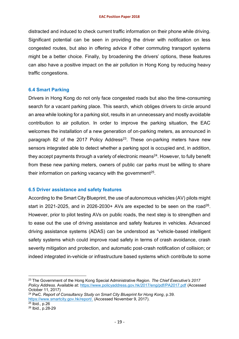distracted and induced to check current traffic information on their phone while driving. Significant potential can be seen in providing the driver with notification on less congested routes, but also in offering advice if other commuting transport systems might be a better choice. Finally, by broadening the drivers' options, these features can also have a positive impact on the air pollution in Hong Kong by reducing heavy traffic congestions.

#### **6.4 Smart Parking**

Drivers in Hong Kong do not only face congested roads but also the time-consuming search for a vacant parking place. This search, which obliges drivers to circle around an area while looking for a parking slot, results in an unnecessary and mostly avoidable contribution to air pollution. In order to improve the parking situation, the EAC welcomes the installation of a new generation of on-parking meters, as announced in paragraph 82 of the 2017 Policy Address<sup>23</sup>. These on-parking meters have new sensors integrated able to detect whether a parking spot is occupied and, in addition, they accept payments through a variety of electronic means<sup>24</sup>. However, to fully benefit from these new parking meters, owners of public car parks must be willing to share their information on parking vacancy with the government<sup>25</sup>.

#### **6.5 Driver assistance and safety features**

According to the Smart City Blueprint, the use of autonomous vehicles (AV) pilots might start in 2021-2025, and in 2026-2030+ AVs are expected to be seen on the road<sup>26</sup>. However, prior to pilot testing AVs on public roads, the next step is to strengthen and to ease out the use of driving assistance and safety features in vehicles. Advanced driving assistance systems (ADAS) can be understood as "vehicle-based intelligent safety systems which could improve road safety in terms of crash avoidance, crash severity mitigation and protection, and automatic post-crash notification of collision; or indeed integrated in-vehicle or infrastructure based systems which contribute to some

l

<sup>23</sup> The Government of the Hong Kong Special Administrative Region. *The Chief Executive's 2017 Policy Address.* Available at:<https://www.policyaddress.gov.hk/2017/eng/pdf/PA2017.pdf> (Accessed October 11, 2017)

<sup>24</sup> PwC. *Report of Consultancy Study on Smart City Blueprint for Hong Kong*, p.39. [https://www.smartcity.gov.hk/report/.](https://www.smartcity.gov.hk/report/) (Accessed November 9, 2017).

 $25$  Ibid., p.26

<sup>26</sup> Ibid., p.28-29